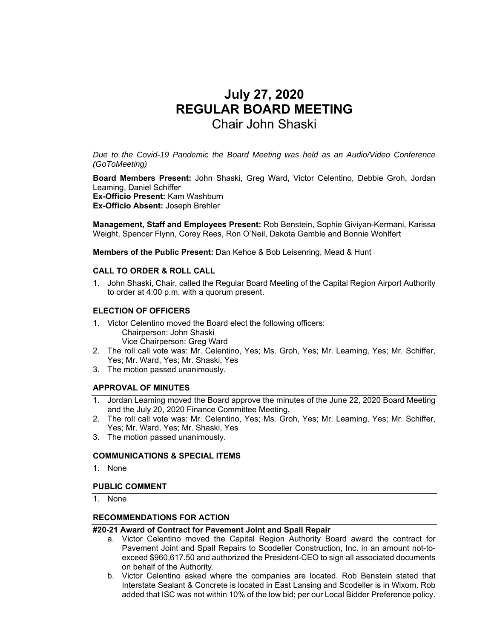# **July 27, 2020 REGULAR BOARD MEETING**  Chair John Shaski

*Due to the Covid-19 Pandemic the Board Meeting was held as an Audio/Video Conference (GoToMeeting)* 

**Board Members Present:** John Shaski, Greg Ward, Victor Celentino, Debbie Groh, Jordan Leaming, Daniel Schiffer **Ex-Officio Present:** Kam Washburn **Ex-Officio Absent:** Joseph Brehler

**Management, Staff and Employees Present:** Rob Benstein, Sophie Giviyan-Kermani, Karissa Weight, Spencer Flynn, Corey Rees, Ron O'Neil, Dakota Gamble and Bonnie Wohlfert

**Members of the Public Present:** Dan Kehoe & Bob Leisenring, Mead & Hunt

#### **CALL TO ORDER & ROLL CALL**

1. John Shaski, Chair, called the Regular Board Meeting of the Capital Region Airport Authority to order at 4:00 p.m. with a quorum present.

#### **ELECTION OF OFFICERS**

- 1. Victor Celentino moved the Board elect the following officers: Chairperson: John Shaski Vice Chairperson: Greg Ward
- 2. The roll call vote was: Mr. Celentino, Yes; Ms. Groh, Yes; Mr. Leaming, Yes; Mr. Schiffer, Yes; Mr. Ward, Yes; Mr. Shaski, Yes
- 3. The motion passed unanimously.

#### **APPROVAL OF MINUTES**

- 1. Jordan Leaming moved the Board approve the minutes of the June 22, 2020 Board Meeting and the July 20, 2020 Finance Committee Meeting.
- 2. The roll call vote was: Mr. Celentino, Yes; Ms. Groh, Yes; Mr. Leaming, Yes; Mr. Schiffer, Yes; Mr. Ward, Yes; Mr. Shaski, Yes
- 3. The motion passed unanimously.

#### **COMMUNICATIONS & SPECIAL ITEMS**

1. None

#### **PUBLIC COMMENT**

1. None

#### **RECOMMENDATIONS FOR ACTION**

#### **#20-21 Award of Contract for Pavement Joint and Spall Repair**

- a. Victor Celentino moved the Capital Region Authority Board award the contract for Pavement Joint and Spall Repairs to Scodeller Construction, Inc. in an amount not-toexceed \$960,617.50 and authorized the President-CEO to sign all associated documents on behalf of the Authority.
- b. Victor Celentino asked where the companies are located. Rob Benstein stated that Interstate Sealant & Concrete is located in East Lansing and Scodeller is in Wixom. Rob added that ISC was not within 10% of the low bid; per our Local Bidder Preference policy.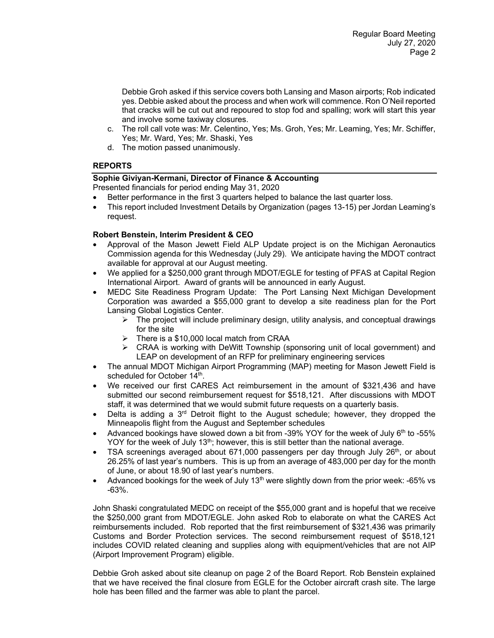Debbie Groh asked if this service covers both Lansing and Mason airports; Rob indicated yes. Debbie asked about the process and when work will commence. Ron O'Neil reported that cracks will be cut out and repoured to stop fod and spalling; work will start this year and involve some taxiway closures.

- c. The roll call vote was: Mr. Celentino, Yes; Ms. Groh, Yes; Mr. Leaming, Yes; Mr. Schiffer, Yes; Mr. Ward, Yes; Mr. Shaski, Yes
- d. The motion passed unanimously.

# **REPORTS**

### **Sophie Giviyan-Kermani, Director of Finance & Accounting**

Presented financials for period ending May 31, 2020

- Better performance in the first 3 quarters helped to balance the last quarter loss.
- This report included Investment Details by Organization (pages 13-15) per Jordan Leaming's request.

# **Robert Benstein, Interim President & CEO**

- Approval of the Mason Jewett Field ALP Update project is on the Michigan Aeronautics Commission agenda for this Wednesday (July 29). We anticipate having the MDOT contract available for approval at our August meeting.
- We applied for a \$250,000 grant through MDOT/EGLE for testing of PFAS at Capital Region International Airport. Award of grants will be announced in early August.
- MEDC Site Readiness Program Update: The Port Lansing Next Michigan Development Corporation was awarded a \$55,000 grant to develop a site readiness plan for the Port Lansing Global Logistics Center.
	- $\triangleright$  The project will include preliminary design, utility analysis, and conceptual drawings for the site
	- $\triangleright$  There is a \$10,000 local match from CRAA
	- $\triangleright$  CRAA is working with DeWitt Township (sponsoring unit of local government) and LEAP on development of an RFP for preliminary engineering services
- The annual MDOT Michigan Airport Programming (MAP) meeting for Mason Jewett Field is scheduled for October 14th.
- We received our first CARES Act reimbursement in the amount of \$321,436 and have submitted our second reimbursement request for \$518,121. After discussions with MDOT staff, it was determined that we would submit future requests on a quarterly basis.
- Delta is adding a  $3<sup>rd</sup>$  Detroit flight to the August schedule; however, they dropped the Minneapolis flight from the August and September schedules
- Advanced bookings have slowed down a bit from -39% YOY for the week of July  $6<sup>th</sup>$  to -55% YOY for the week of July 13<sup>th</sup>; however, this is still better than the national average.
- TSA screenings averaged about 671,000 passengers per day through July 26<sup>th</sup>, or about 26.25% of last year's numbers. This is up from an average of 483,000 per day for the month of June, or about 18.90 of last year's numbers.
- Advanced bookings for the week of July  $13<sup>th</sup>$  were slightly down from the prior week: -65% vs -63%.

John Shaski congratulated MEDC on receipt of the \$55,000 grant and is hopeful that we receive the \$250,000 grant from MDOT/EGLE. John asked Rob to elaborate on what the CARES Act reimbursements included. Rob reported that the first reimbursement of \$321,436 was primarily Customs and Border Protection services. The second reimbursement request of \$518,121 includes COVID related cleaning and supplies along with equipment/vehicles that are not AIP (Airport Improvement Program) eligible.

Debbie Groh asked about site cleanup on page 2 of the Board Report. Rob Benstein explained that we have received the final closure from EGLE for the October aircraft crash site. The large hole has been filled and the farmer was able to plant the parcel.